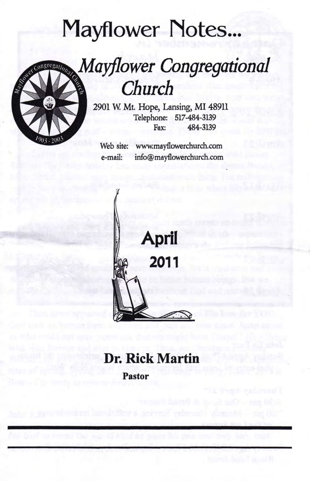# Mayflower Notes...

## Mayflower Congregational Church

2901 W. Mt. Hope, Lansing, MI 48911 Telephone: 517-484-3139 Fax: 484-3139

www.mayflowerchurch.com info@mayflowerchurch.com Web site: e-mail:



### Dr. Rick Martin Pastor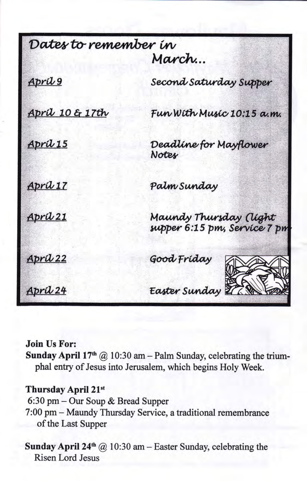| Dates to remember in       |                                                               |
|----------------------------|---------------------------------------------------------------|
|                            | March                                                         |
| <u>April 9</u>             | Second Saturday Supper                                        |
| <u>April 10 &amp; 17th</u> | Fun With Music 10:15 a.m.                                     |
| <u>April 15</u>            | Deadline for Mayflower<br>Notes                               |
| April 17                   | Palm Sunday                                                   |
| April 21                   | Maundy Thursday <i>(light</i><br>supper 6:15 pm, Service 7 pm |
| April 22                   | Good Friday                                                   |
| April 24                   | Easter Sunday 27 Paul                                         |

#### Join Us For:

Sunday April 17<sup>th</sup>  $(2)$  10:30 am - Palm Sunday, celebrating the triumphal entry of Jesus into Jerusalem, which begins Holy Week.

#### Thursday April 21st

6:30 pm - Our Soup & Bread Supper 7:00 pm - Maundy Thursday Service, a traditional remembrance of the Last Supper

Sunday April 24<sup>th</sup> @ 10:30 am - Easter Sunday, celebrating the Risen Lord Jesus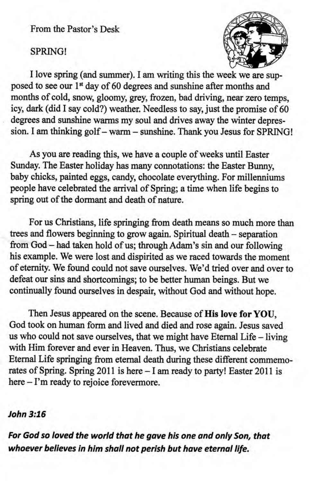From the Pastor's Desk

#### SPRING!



I love spring (and summer). I am uriting this the week we are supposed to see our 1<sup>st</sup> day of 60 degrees and sunshine after months and months of cold, snow, gloomy, grey, frozen, bad driving, near zero temps, icy, dark (did I say cold?) weather. Needless to say, just the promise of 60 degrees and sunshine warms my soul and drives away the winter depression. I am thinking golf - warm - sunshine. Thank you Jesus for SPRING!

As you are reading this, we have a couple of weeks until Easter Sunday. The Easter holiday has many connotations: the Easter Bunny, baby chicks, painted eggs, candy, ohocolate everything. For millenniums people have celebrated the arrival of Spring; a time when life begins to spring out of the dormant and death of nature.

For us Christians, life springing from death means so much more than frees and flowers beginning to grow again. Spiritual death - separation from God - had taken hold of us; through Adam's sin and our following his example. We were lost and dispirited as we raced towards the moment of eternity. We found could not save ourselves. We'd tried over and over to defeat our sins and shortcomings; to be better human beings. But we continually fourd ourselves in despair, without God and without hope.

Then Jesus appeared on the scene. Because of His love for YOU, God took on human form and lived and died and rose again. Jesus saved us who could not save ourselves, that we might have Eternal Life - living with Him forever and ever in Heaven. Thus, we Christians celebrate Eternal Life springing from etemal death during these diferent commemorates of Spring. Spring 2011 is here - I am ready to party! Easter 2011 is here – I'm ready to rejoice forevermore.

#### John 3:16

For God so loved the world that he gave his one and only Son, that whoever believes in him shall not perish but have eternal life.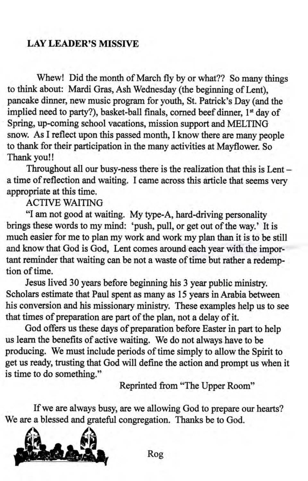#### LAY LEADER'S MISSIVE

Whew! Did the month of March fly by or what?? So many things to think about: Mardi Gras, Ash Wednesday (the beginning of Lent), pancake dinner, new music program for youth, St. Patrick's Day (and the implied need to party?), basket-ball finals, corned beef dinner, 1<sup>st</sup> day of Spring, up-coming school vacations, mission support and MELTING snow. As I reflect upon this passed month, I know there are many people to thank for their participation in the many activities at Mayflower. So Thank you!!

Throughout all our busy-ness there is the realization that this is  $Lent$ a time of reflection and waiting. I came across this article that seems very appropriate at this time.

ACTTVE WAITING

"I am not good at waiting. My type-A, hard-driving personality brings these words to my mind: 'push, pull, or get out of the way.' It is much easier for me to plan my work and work my plan than it is to be still and know that God is God, Lent comes around each year with the important reminder that waiting can be not a waste of time but rather a redemption of time.

Jesus lived 30 years before beginning his 3 year public ministry. Scholars estimate that Paul spent as many as 15 years in Arabia between his conversion and his missionary ministry. These examples help us to see that times of preparation are part of the plan, not a delay of it.

God offers us these days of preparation before Easter in part to help us learn the benefits of active waiting. We do not always have to be producing. We must include periods of time simply to allow the Spirit to get us ready, trusting that God will define the action and prompt us when it is time to do something."

Reprinted from "The Upper Room"

If we are always busy, are we allowing God to prepare our hearts? We are a blessed and grateful congregation. Thanks be to God.

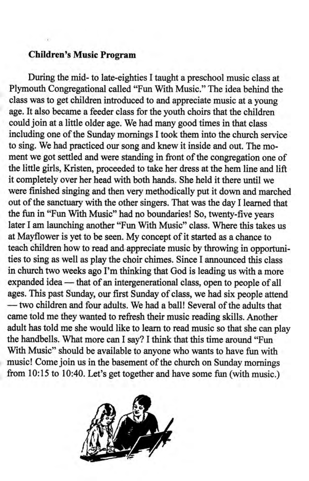#### Children's Music Program

During the mid- to late-eighties I taught a preschool music class at Plymouth Congregational called "Fun With Music." The idea behind the class was to get children introduced to and appreciate music at a young age. It also became a feeder class for the youth choirs that the children could join at a little older age. We had many good times in that class including one of the Sunday momings I took them into the church service to sing. We had practiced our song and knew it inside and out. The moment we got settled and were standing in front of the congregation one of the little girls, Kristen, proceeded to take her dress at the hem line and lift it completely over her head with both hands, She held it there until we were finished singing and then very methodically put it down and marched out of the sanctuary with the other singers. That was the day I learned that the fun in "Fun With Music" had no boundaries! So, twenty-five years later I am launching another "Fun With Music" class. Where this takes us at Mayflower is yet to be seen. My concept of it started as a chance to teach children how to read and appreciate music by throwing in opportunities to sing as well as play the choir chimes. Since I announced this class in church two weeks ago I'm thinking that God is leading us with a more expanded idea — that of an intergenerational class, open to people of all expanded idea — that of an intergenerational class, open to people of all<br>ages. This past Sunday, our first Sunday of class, we had six people attend — two children and four adults. We had a bail! Several of the adults the<br>came told me they wanted to refresh their music reading skills. Another two children and four adults. We had a ball! Several of the adults that adult has told me she would like to learn to read music so that she can play the handbells. What more can I say? I think that this time around "Fun With Music" should be available to anyone who wants to have fun with music! Come join us in the basement of the church on Sunday mornings from 10:15 to 10:40. Let's get together and have some fun (with music.)

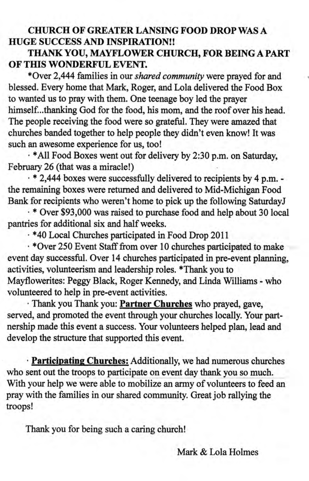#### CHURCH OF GREATER LANSING FOOD DROP WAS A HUGE SUCCESS AND INSPIRATION!!

#### THANK YOU, MAYFLOWER CHURCH, FOR BEING A PART OF THIS WONDERFUL EVENT.

\*Over 2,444 families in our shared community were prayed for and blessed. Every home that Mark, Roger, and Lola delivered the Food Box to wanted us to pray with them. One teenage boy led the prayer himself...thanking God for the food, his mom, and the roof over his head. The people receiving the food were so grateful. They were amazed that churches banded together to help people they didn't even know! It was such an awesome experience for us, too!

, \*All Food Boxes went out for delivery by 2:30 p.m. on Saturday, February 26 (that was a miracle!)

. \* 2,444 boxes were successfully delivered to recipients by 4 p.m. the remaining boxes were returned and delivered to Mid-Michigan Food Bank for recipients who weren't home to pick up the following SaturdayJ

' \* Over \$93,000 was raised to purchase food and help about 30 local pantries for additional six and half weeks.

. \*40 Local Churches participated in Food Drop <sup>2011</sup>

 $\cdot$  \*Over 250 Event Staff from over 10 churches participated to make event day successful. Over 14 churches participated in pre-event planning, .activities, volunteerism and leadership roles. \*Thank you to Mayflowerites: Peggy Black, Roger Kennedy, and Linda Williams - who volunteered to help in pre-event activities.

' Thank you Thank you: Partner Churches who prayed, gave, served, and promoted the event through your churches locally. Your partnership made this event a success. Your volunteers helped plan, lead and develop the structure that supported this event.

. Participating Churches: Additionally, we had numerous churches who sent out the troops to participate on event day thank you so much. With your help we were able to mobilize an army of volunteers to feed an pray with the families in our shared commurity. Great job rallying the troops!

Thank you for being such a caring church!

Mark & Lola Holmes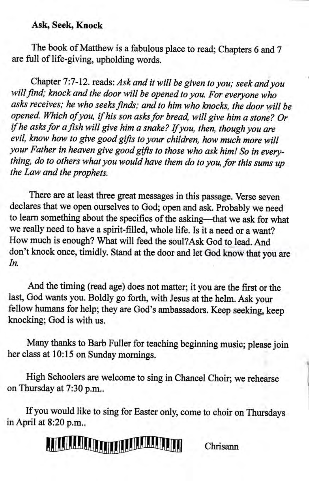#### Ask, Seek, Knock

The book of Matthew is a fabulous place to read; Chapters 6 and 7 are full of life-giving, upholding words.

Chapter 7:7-12. reads: Ask and it wilt be given to you; seek and you will find; knock and the door will be opened to you. For everyone who asks receives; he who seeks finds; and to him who knocks, the door will be opened. Which of you, if his son asks for bread, will give him a stone? Or if he asks for a fish will give him a snake? If you, then, though you are evil, know how to give good gifts to your children, how much more will your Father in heaven give good gifts to those who ask him! So in everything, do to others what you would have them do to you, for this sums up the Law and the prophets.

There are at least three great messages in this passage. verse seven declares that we open ourselves to God; open and ask. Probably we need to learn something about the specifics of the asking-that we ask for what we really need to have a spirit-filled, whole life. Is it a need or a want? How much is enough? What will feed the soul?Ask God to lead. And don't knock once, timidly. Stand at the door and let God know that you are In.

And the timing (read age) does not matter; it you are the first or the last, God wants you. Boldly go forth, with Jesus at the helm. Ask your fellow humans for help; they are God's ambassadors. Keep seeking, keep knocking; God is with us.

Many thanks to Barb Fuller for teaching beginning music; please join her class at 10:15 on Sunday momings.

High Schoolers are welcome to sing in Chancel Choir; we rehearse on Thursday at 7:30 p.m..

If you would like to sing for Easter only, come to choir on Thursdays inApril at 8:20 p.m..

### **THE REAL PROPERTY OF BUILDING**

Chrisann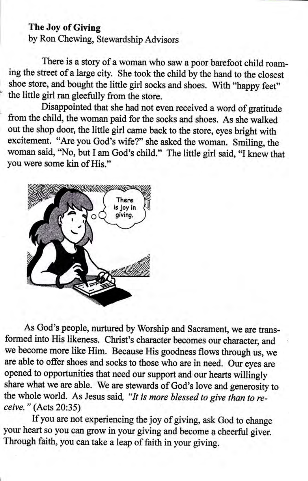#### The Joy of Giving

by Ron Chewing, Stewardship Advisors

There is a story of a woman who saw a poor barefoot child roaming the steet of a large city. she took the child by the hand to the closest shoe store, and bought the little girl socks and shoes. With "happy feet" the liftle girl ran gleefully from the store.

Disappointed that she had not even received a word of gratitude from the child, the woman paid for the sooks and shoes. As she walked out the shop door, the little girl came back to the store, eyes bright with excitement. "Are you God's wife?" she asked the woman. Smiling, the woman said, "No, but I am God's child." The little girl said, "I knew that you were some kin of His."



As God's people, nurtured by worship and sacrament, we are tansformed into His likeness. christ's character becomes our character, and we become more like Him. Because His goodness flows through us, we are able to offer shoes and socks to those who are in need. Our eyes are opened to opportunities that need our support and our hearts willingly share what we are able. we are stewards of God's love and generosity to the whole world. As Jesus said, "It is more blessed to give than to receive. " (Acts 20:35)

If you are not experiencing the joy of giving, ask God to change your heart so you can grow in your giving and become a cheerful giver. Through faith, you can take a leap of faith in your giving.